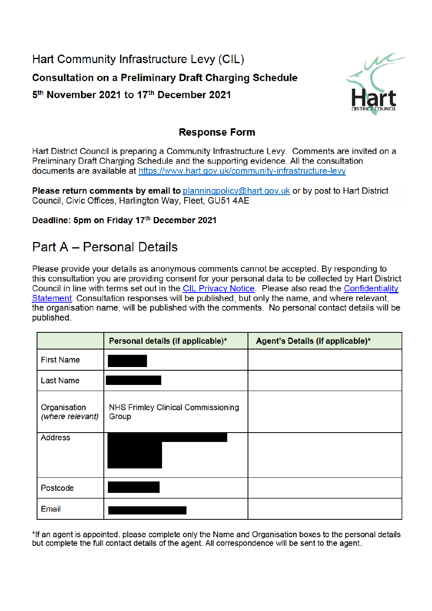# Hart Community Infrastructure Levy (CIL) **Consultation on a Preliminary Draft Charging Schedule** 5<sup>th</sup> November 2021 to 17<sup>th</sup> December 2021



### **Response Form**

Hart District Council is preparing a Community Infrastructure Levy. Comments are invited on a Preliminary Draft Charging Schedule and the supporting evidence. All the consultation documents are available at https://www.hart.gov.uk/community-infrastructure-levy

**Please return comments by email to** planningpolicy@hart.gov.uk or by post to Hart District Council, Civic Offices, Harlington Way, Fleet, GU51 4AE

#### Deadline: 5pm on Friday 17th December 2021

### Part A - Personal Details

Please provide your details as anonymous comments cannot be accepted. By responding to this consultation you are providing consent for your personal data to be collected by Hart District Council in line with terms set out in the CIL Privacy Notice. Please also read the Confidentiality Statement. Consultation responses will be published, but only the name, and where relevant, the organisation name, will be published with the comments. No personal contact details will be published.

|                                  | Personal details (if applicable)*                  | Agent's Details (if applicable)* |
|----------------------------------|----------------------------------------------------|----------------------------------|
| <b>First Name</b>                |                                                    |                                  |
| <b>Last Name</b>                 |                                                    |                                  |
| Organisation<br>(where relevant) | <b>NHS Frimley Clinical Commissioning</b><br>Group |                                  |
| <b>Address</b>                   |                                                    |                                  |
| Postcode                         |                                                    |                                  |
| Email                            |                                                    |                                  |

\*If an agent is appointed, please complete only the Name and Organisation boxes to the personal details but complete the full contact details of the agent. All correspondence will be sent to the agent.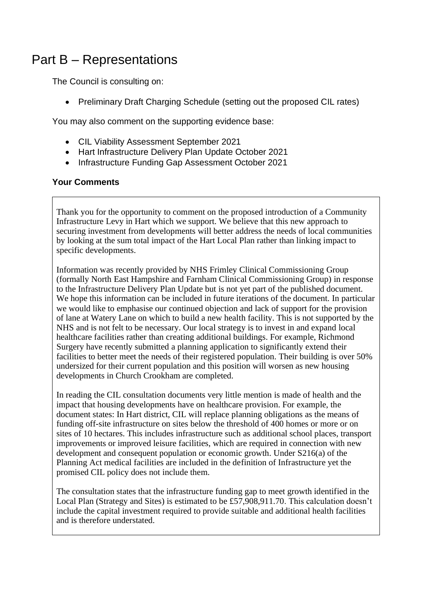## Part B – Representations

The Council is consulting on:

• Preliminary Draft Charging Schedule (setting out the proposed CIL rates)

You may also comment on the supporting evidence base:

- CIL Viability Assessment September 2021
- Hart Infrastructure Delivery Plan Update October 2021
- Infrastructure Funding Gap Assessment October 2021

#### **Your Comments**

Thank you for the opportunity to comment on the proposed introduction of a Community Infrastructure Levy in Hart which we support. We believe that this new approach to securing investment from developments will better address the needs of local communities by looking at the sum total impact of the Hart Local Plan rather than linking impact to specific developments.

Information was recently provided by NHS Frimley Clinical Commissioning Group (formally North East Hampshire and Farnham Clinical Commissioning Group) in response to the Infrastructure Delivery Plan Update but is not yet part of the published document. We hope this information can be included in future iterations of the document. In particular we would like to emphasise our continued objection and lack of support for the provision of lane at Watery Lane on which to build a new health facility. This is not supported by the NHS and is not felt to be necessary. Our local strategy is to invest in and expand local healthcare facilities rather than creating additional buildings. For example, Richmond Surgery have recently submitted a planning application to significantly extend their facilities to better meet the needs of their registered population. Their building is over 50% undersized for their current population and this position will worsen as new housing developments in Church Crookham are completed.

In reading the CIL consultation documents very little mention is made of health and the impact that housing developments have on healthcare provision. For example, the document states: In Hart district, CIL will replace planning obligations as the means of funding off-site infrastructure on sites below the threshold of 400 homes or more or on sites of 10 hectares. This includes infrastructure such as additional school places, transport improvements or improved leisure facilities, which are required in connection with new development and consequent population or economic growth. Under S216(a) of the Planning Act medical facilities are included in the definition of Infrastructure yet the promised CIL policy does not include them.

The consultation states that the infrastructure funding gap to meet growth identified in the Local Plan (Strategy and Sites) is estimated to be £57,908,911.70. This calculation doesn't include the capital investment required to provide suitable and additional health facilities and is therefore understated.